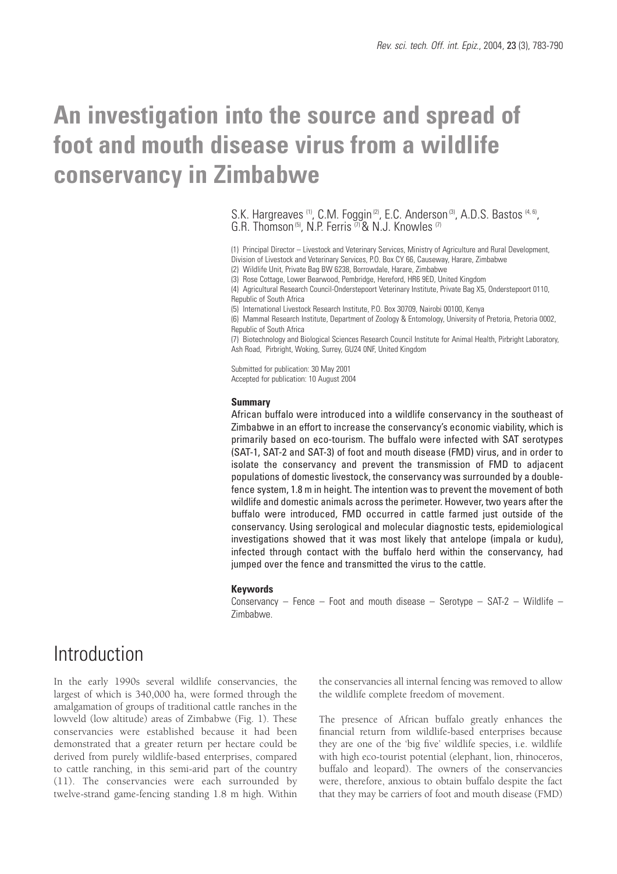# **An investigation into the source and spread of foot and mouth disease virus from a wildlife conservancy in Zimbabwe**

S.K. Hargreaves (1), C.M. Foggin (2), E.C. Anderson (3), A.D.S. Bastos (4, 6), G.R. Thomson<sup>(5)</sup>, N.P. Ferris  $\binom{7}{1}$  & N.J. Knowles (7)

(1) Principal Director – Livestock and Veterinary Services, Ministry of Agriculture and Rural Development, Division of Livestock and Veterinary Services, P.O. Box CY 66, Causeway, Harare, Zimbabwe (2) Wildlife Unit, Private Bag BW 6238, Borrowdale, Harare, Zimbabwe

(3) Rose Cottage, Lower Bearwood, Pembridge, Hereford, HR6 9ED, United Kingdom

(4) Agricultural Research Council-Onderstepoort Veterinary Institute, Private Bag X5, Onderstepoort 0110, Republic of South Africa

(5) International Livestock Research Institute, P.O. Box 30709, Nairobi 00100, Kenya

(6) Mammal Research Institute, Department of Zoology & Entomology, University of Pretoria, Pretoria 0002, Republic of South Africa

(7) Biotechnology and Biological Sciences Research Council Institute for Animal Health, Pirbright Laboratory, Ash Road, Pirbright, Woking, Surrey, GU24 0NF, United Kingdom

Submitted for publication: 30 May 2001 Accepted for publication: 10 August 2004

#### **Summary**

African buffalo were introduced into a wildlife conservancy in the southeast of Zimbabwe in an effort to increase the conservancy's economic viability, which is primarily based on eco-tourism. The buffalo were infected with SAT serotypes (SAT-1, SAT-2 and SAT-3) of foot and mouth disease (FMD) virus, and in order to isolate the conservancy and prevent the transmission of FMD to adjacent populations of domestic livestock, the conservancy was surrounded by a doublefence system, 1.8 m in height. The intention was to prevent the movement of both wildlife and domestic animals across the perimeter. However, two years after the buffalo were introduced, FMD occurred in cattle farmed just outside of the conservancy. Using serological and molecular diagnostic tests, epidemiological investigations showed that it was most likely that antelope (impala or kudu), infected through contact with the buffalo herd within the conservancy, had jumped over the fence and transmitted the virus to the cattle.

#### **Keywords**

Conservancy – Fence – Foot and mouth disease – Serotype – SAT-2 – Wildlife – Zimbabwe.

## **Introduction**

In the early 1990s several wildlife conservancies, the largest of which is 340,000 ha, were formed through the amalgamation of groups of traditional cattle ranches in the lowveld (low altitude) areas of Zimbabwe (Fig. 1). These conservancies were established because it had been demonstrated that a greater return per hectare could be derived from purely wildlife-based enterprises, compared to cattle ranching, in this semi-arid part of the country (11). The conservancies were each surrounded by twelve-strand game-fencing standing 1.8 m high. Within the conservancies all internal fencing was removed to allow the wildlife complete freedom of movement.

The presence of African buffalo greatly enhances the financial return from wildlife-based enterprises because they are one of the 'big five' wildlife species, i.e. wildlife with high eco-tourist potential (elephant, lion, rhinoceros, buffalo and leopard). The owners of the conservancies were, therefore, anxious to obtain buffalo despite the fact that they may be carriers of foot and mouth disease (FMD)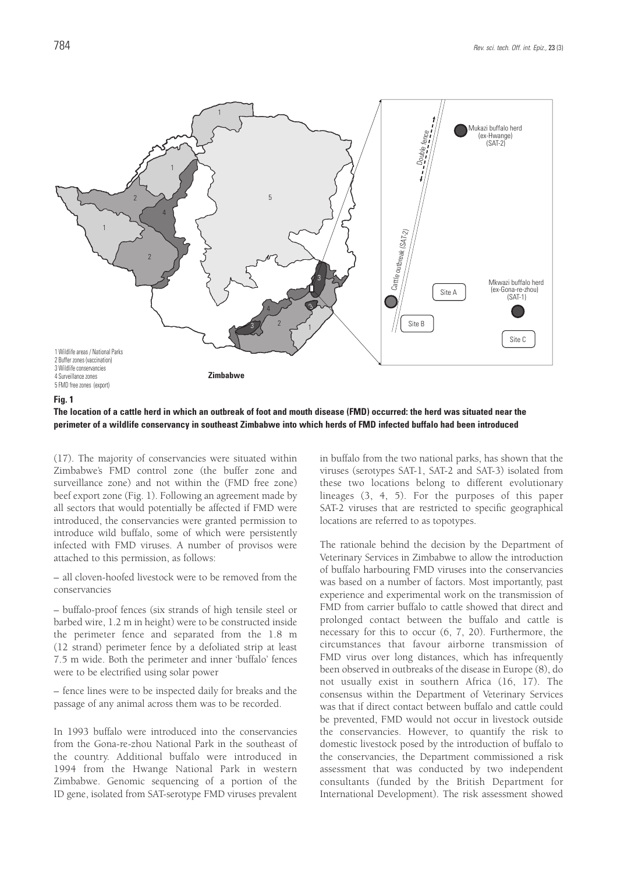

#### **Fig. 1**

**The location of a cattle herd in which an outbreak of foot and mouth disease (FMD) occurred: the herd was situated near the perimeter of a wildlife conservancy in southeast Zimbabwe into which herds of FMD infected buffalo had been introduced**

(17). The majority of conservancies were situated within Zimbabwe's FMD control zone (the buffer zone and surveillance zone) and not within the (FMD free zone) beef export zone (Fig. 1). Following an agreement made by all sectors that would potentially be affected if FMD were introduced, the conservancies were granted permission to introduce wild buffalo, some of which were persistently infected with FMD viruses. A number of provisos were attached to this permission, as follows:

– all cloven-hoofed livestock were to be removed from the conservancies

– buffalo-proof fences (six strands of high tensile steel or barbed wire, 1.2 m in height) were to be constructed inside the perimeter fence and separated from the 1.8 m (12 strand) perimeter fence by a defoliated strip at least 7.5 m wide. Both the perimeter and inner 'buffalo' fences were to be electrified using solar power

– fence lines were to be inspected daily for breaks and the passage of any animal across them was to be recorded.

In 1993 buffalo were introduced into the conservancies from the Gona-re-zhou National Park in the southeast of the country. Additional buffalo were introduced in 1994 from the Hwange National Park in western Zimbabwe. Genomic sequencing of a portion of the ID gene, isolated from SAT-serotype FMD viruses prevalent in buffalo from the two national parks, has shown that the viruses (serotypes SAT-1, SAT-2 and SAT-3) isolated from these two locations belong to different evolutionary lineages (3, 4, 5). For the purposes of this paper SAT-2 viruses that are restricted to specific geographical locations are referred to as topotypes.

The rationale behind the decision by the Department of Veterinary Services in Zimbabwe to allow the introduction of buffalo harbouring FMD viruses into the conservancies was based on a number of factors. Most importantly, past experience and experimental work on the transmission of FMD from carrier buffalo to cattle showed that direct and prolonged contact between the buffalo and cattle is necessary for this to occur (6, 7, 20). Furthermore, the circumstances that favour airborne transmission of FMD virus over long distances, which has infrequently been observed in outbreaks of the disease in Europe (8), do not usually exist in southern Africa (16, 17). The consensus within the Department of Veterinary Services was that if direct contact between buffalo and cattle could be prevented, FMD would not occur in livestock outside the conservancies. However, to quantify the risk to domestic livestock posed by the introduction of buffalo to the conservancies, the Department commissioned a risk assessment that was conducted by two independent consultants (funded by the British Department for International Development). The risk assessment showed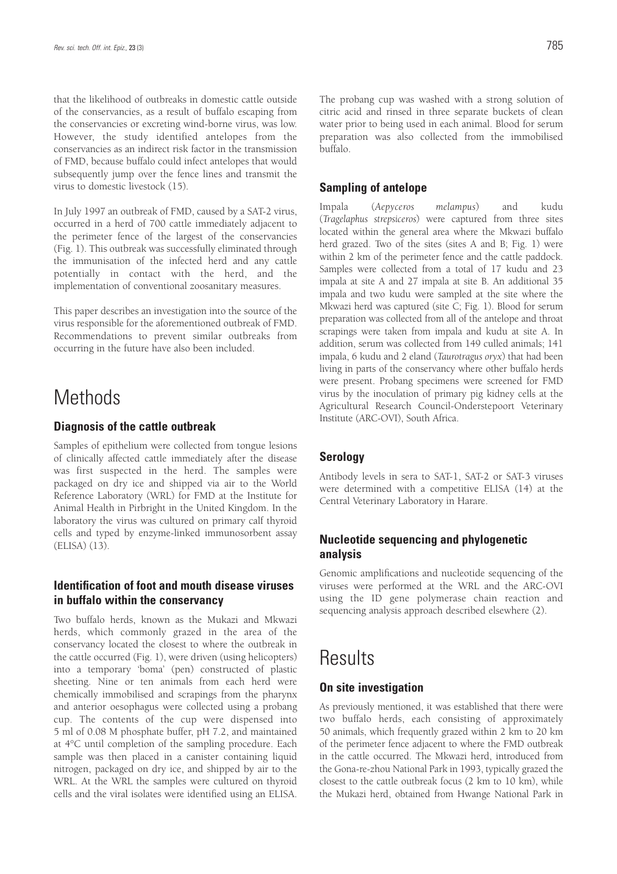that the likelihood of outbreaks in domestic cattle outside of the conservancies, as a result of buffalo escaping from the conservancies or excreting wind-borne virus, was low. However, the study identified antelopes from the conservancies as an indirect risk factor in the transmission of FMD, because buffalo could infect antelopes that would subsequently jump over the fence lines and transmit the virus to domestic livestock (15).

In July 1997 an outbreak of FMD, caused by a SAT-2 virus, occurred in a herd of 700 cattle immediately adjacent to the perimeter fence of the largest of the conservancies (Fig. 1). This outbreak was successfully eliminated through the immunisation of the infected herd and any cattle potentially in contact with the herd, and the implementation of conventional zoosanitary measures.

This paper describes an investigation into the source of the virus responsible for the aforementioned outbreak of FMD. Recommendations to prevent similar outbreaks from occurring in the future have also been included.

## **Methods**

### **Diagnosis of the cattle outbreak**

Samples of epithelium were collected from tongue lesions of clinically affected cattle immediately after the disease was first suspected in the herd. The samples were packaged on dry ice and shipped via air to the World Reference Laboratory (WRL) for FMD at the Institute for Animal Health in Pirbright in the United Kingdom. In the laboratory the virus was cultured on primary calf thyroid cells and typed by enzyme-linked immunosorbent assay (ELISA) (13).

### **Identification of foot and mouth disease viruses in buffalo within the conservancy**

Two buffalo herds, known as the Mukazi and Mkwazi herds, which commonly grazed in the area of the conservancy located the closest to where the outbreak in the cattle occurred (Fig. 1), were driven (using helicopters) into a temporary 'boma' (pen) constructed of plastic sheeting. Nine or ten animals from each herd were chemically immobilised and scrapings from the pharynx and anterior oesophagus were collected using a probang cup. The contents of the cup were dispensed into 5 ml of 0.08 M phosphate buffer, pH 7.2, and maintained at 4°C until completion of the sampling procedure. Each sample was then placed in a canister containing liquid nitrogen, packaged on dry ice, and shipped by air to the WRL. At the WRL the samples were cultured on thyroid cells and the viral isolates were identified using an ELISA. The probang cup was washed with a strong solution of citric acid and rinsed in three separate buckets of clean water prior to being used in each animal. Blood for serum preparation was also collected from the immobilised buffalo.

### **Sampling of antelope**

Impala (*Aepyceros melampus*) and kudu (*Tragelaphus strepsiceros*) were captured from three sites located within the general area where the Mkwazi buffalo herd grazed. Two of the sites (sites A and B; Fig. 1) were within 2 km of the perimeter fence and the cattle paddock. Samples were collected from a total of 17 kudu and 23 impala at site A and 27 impala at site B. An additional 35 impala and two kudu were sampled at the site where the Mkwazi herd was captured (site C; Fig. 1). Blood for serum preparation was collected from all of the antelope and throat scrapings were taken from impala and kudu at site A. In addition, serum was collected from 149 culled animals; 141 impala, 6 kudu and 2 eland (*Taurotragus oryx*) that had been living in parts of the conservancy where other buffalo herds were present. Probang specimens were screened for FMD virus by the inoculation of primary pig kidney cells at the Agricultural Research Council-Onderstepoort Veterinary Institute (ARC-OVI), South Africa.

### **Serology**

Antibody levels in sera to SAT-1, SAT-2 or SAT-3 viruses were determined with a competitive ELISA (14) at the Central Veterinary Laboratory in Harare.

### **Nucleotide sequencing and phylogenetic analysis**

Genomic amplifications and nucleotide sequencing of the viruses were performed at the WRL and the ARC-OVI using the ID gene polymerase chain reaction and sequencing analysis approach described elsewhere (2).

## **Results**

### **On site investigation**

As previously mentioned, it was established that there were two buffalo herds, each consisting of approximately 50 animals, which frequently grazed within 2 km to 20 km of the perimeter fence adjacent to where the FMD outbreak in the cattle occurred. The Mkwazi herd, introduced from the Gona-re-zhou National Park in 1993, typically grazed the closest to the cattle outbreak focus (2 km to 10 km), while the Mukazi herd, obtained from Hwange National Park in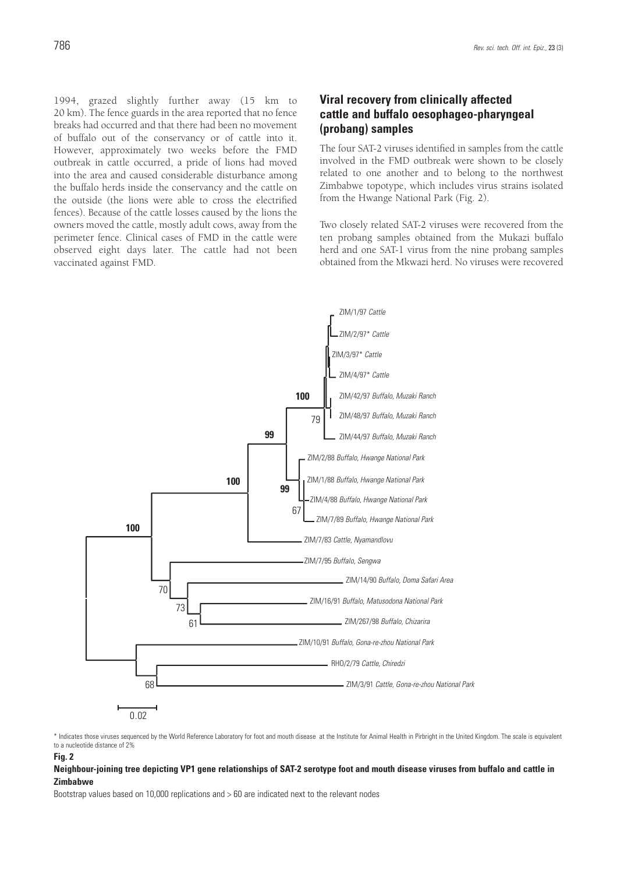1994, grazed slightly further away (15 km to 20 km). The fence guards in the area reported that no fence breaks had occurred and that there had been no movement of buffalo out of the conservancy or of cattle into it. However, approximately two weeks before the FMD outbreak in cattle occurred, a pride of lions had moved into the area and caused considerable disturbance among the buffalo herds inside the conservancy and the cattle on the outside (the lions were able to cross the electrified fences). Because of the cattle losses caused by the lions the owners moved the cattle, mostly adult cows, away from the perimeter fence. Clinical cases of FMD in the cattle were observed eight days later. The cattle had not been vaccinated against FMD.

## **Viral recovery from clinically affected cattle and buffalo oesophageo-pharyngeal (probang) samples**

The four SAT-2 viruses identified in samples from the cattle involved in the FMD outbreak were shown to be closely related to one another and to belong to the northwest Zimbabwe topotype, which includes virus strains isolated from the Hwange National Park (Fig. 2).

Two closely related SAT-2 viruses were recovered from the ten probang samples obtained from the Mukazi buffalo herd and one SAT-1 virus from the nine probang samples obtained from the Mkwazi herd. No viruses were recovered



\* Indicates those viruses sequenced by the World Reference Laboratory for foot and mouth disease at the Institute for Animal Health in Pirbright in the United Kingdom. The scale is equivalent to a nucleotide distance of 2%

### **Fig. 2**

#### **Neighbour-joining tree depicting VP1 gene relationships of SAT-2 serotype foot and mouth disease viruses from buffalo and cattle in Zimbabwe**

Bootstrap values based on 10,000 replications and > 60 are indicated next to the relevant nodes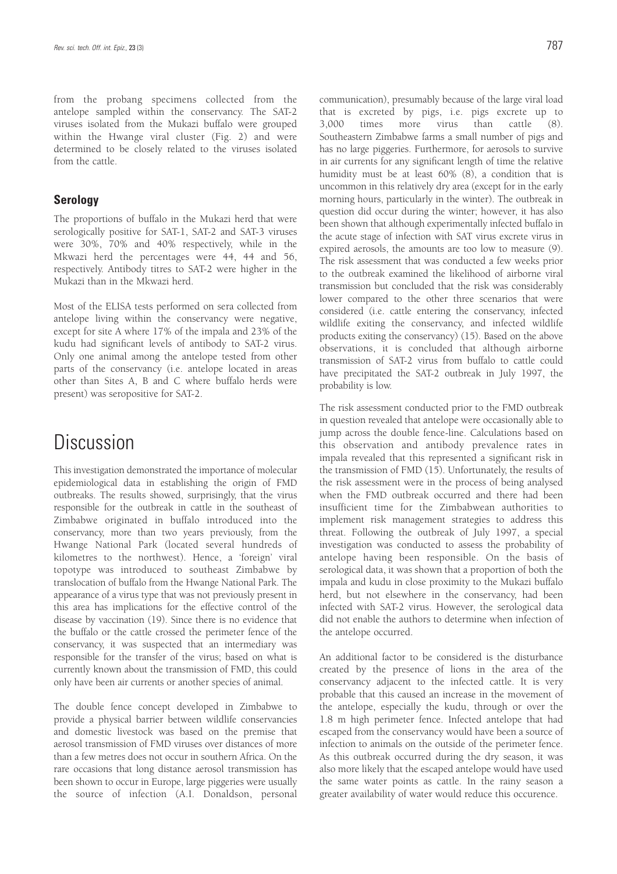from the probang specimens collected from the antelope sampled within the conservancy. The SAT-2 viruses isolated from the Mukazi buffalo were grouped within the Hwange viral cluster (Fig. 2) and were determined to be closely related to the viruses isolated from the cattle.

### **Serology**

The proportions of buffalo in the Mukazi herd that were serologically positive for SAT-1, SAT-2 and SAT-3 viruses were 30%, 70% and 40% respectively, while in the Mkwazi herd the percentages were 44, 44 and 56, respectively. Antibody titres to SAT-2 were higher in the Mukazi than in the Mkwazi herd.

Most of the ELISA tests performed on sera collected from antelope living within the conservancy were negative, except for site A where 17% of the impala and 23% of the kudu had significant levels of antibody to SAT-2 virus. Only one animal among the antelope tested from other parts of the conservancy (i.e. antelope located in areas other than Sites A, B and C where buffalo herds were present) was seropositive for SAT-2.

## Discussion

This investigation demonstrated the importance of molecular epidemiological data in establishing the origin of FMD outbreaks. The results showed, surprisingly, that the virus responsible for the outbreak in cattle in the southeast of Zimbabwe originated in buffalo introduced into the conservancy, more than two years previously, from the Hwange National Park (located several hundreds of kilometres to the northwest). Hence, a 'foreign' viral topotype was introduced to southeast Zimbabwe by translocation of buffalo from the Hwange National Park. The appearance of a virus type that was not previously present in this area has implications for the effective control of the disease by vaccination (19). Since there is no evidence that the buffalo or the cattle crossed the perimeter fence of the conservancy, it was suspected that an intermediary was responsible for the transfer of the virus; based on what is currently known about the transmission of FMD, this could only have been air currents or another species of animal.

The double fence concept developed in Zimbabwe to provide a physical barrier between wildlife conservancies and domestic livestock was based on the premise that aerosol transmission of FMD viruses over distances of more than a few metres does not occur in southern Africa. On the rare occasions that long distance aerosol transmission has been shown to occur in Europe, large piggeries were usually the source of infection (A.I. Donaldson, personal communication), presumably because of the large viral load that is excreted by pigs, i.e. pigs excrete up to 3,000 times more virus than cattle (8). Southeastern Zimbabwe farms a small number of pigs and has no large piggeries. Furthermore, for aerosols to survive in air currents for any significant length of time the relative humidity must be at least 60% (8), a condition that is uncommon in this relatively dry area (except for in the early morning hours, particularly in the winter). The outbreak in question did occur during the winter; however, it has also been shown that although experimentally infected buffalo in the acute stage of infection with SAT virus excrete virus in expired aerosols, the amounts are too low to measure (9). The risk assessment that was conducted a few weeks prior to the outbreak examined the likelihood of airborne viral transmission but concluded that the risk was considerably lower compared to the other three scenarios that were considered (i.e. cattle entering the conservancy, infected wildlife exiting the conservancy, and infected wildlife products exiting the conservancy) (15). Based on the above observations, it is concluded that although airborne transmission of SAT-2 virus from buffalo to cattle could have precipitated the SAT-2 outbreak in July 1997, the probability is low.

The risk assessment conducted prior to the FMD outbreak in question revealed that antelope were occasionally able to jump across the double fence-line. Calculations based on this observation and antibody prevalence rates in impala revealed that this represented a significant risk in the transmission of FMD (15). Unfortunately, the results of the risk assessment were in the process of being analysed when the FMD outbreak occurred and there had been insufficient time for the Zimbabwean authorities to implement risk management strategies to address this threat. Following the outbreak of July 1997, a special investigation was conducted to assess the probability of antelope having been responsible. On the basis of serological data, it was shown that a proportion of both the impala and kudu in close proximity to the Mukazi buffalo herd, but not elsewhere in the conservancy, had been infected with SAT-2 virus. However, the serological data did not enable the authors to determine when infection of the antelope occurred.

An additional factor to be considered is the disturbance created by the presence of lions in the area of the conservancy adjacent to the infected cattle. It is very probable that this caused an increase in the movement of the antelope, especially the kudu, through or over the 1.8 m high perimeter fence. Infected antelope that had escaped from the conservancy would have been a source of infection to animals on the outside of the perimeter fence. As this outbreak occurred during the dry season, it was also more likely that the escaped antelope would have used the same water points as cattle. In the rainy season a greater availability of water would reduce this occurence.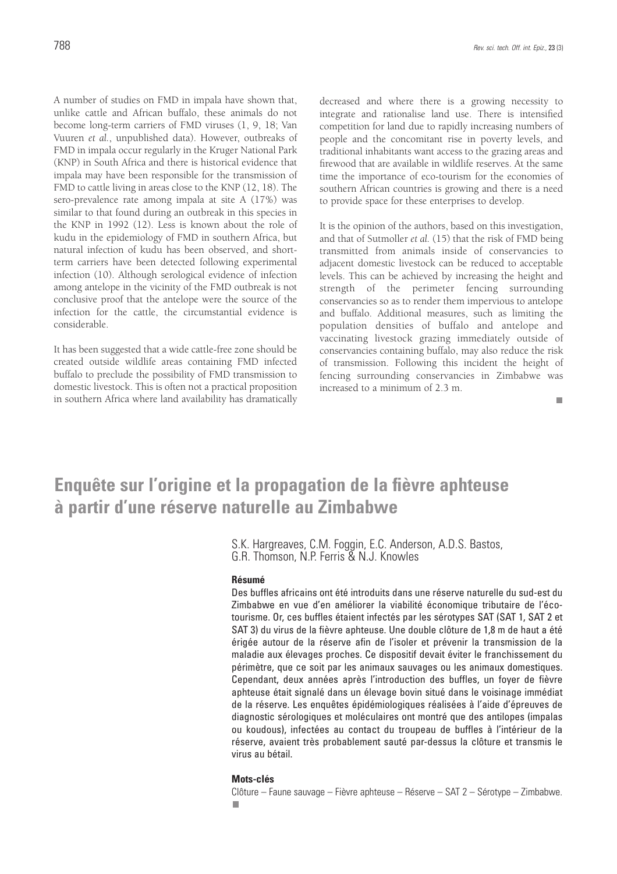A number of studies on FMD in impala have shown that, unlike cattle and African buffalo, these animals do not become long-term carriers of FMD viruses (1, 9, 18; Van Vuuren *et al.*, unpublished data). However, outbreaks of FMD in impala occur regularly in the Kruger National Park (KNP) in South Africa and there is historical evidence that impala may have been responsible for the transmission of FMD to cattle living in areas close to the KNP (12, 18). The sero-prevalence rate among impala at site A (17%) was similar to that found during an outbreak in this species in the KNP in 1992 (12). Less is known about the role of kudu in the epidemiology of FMD in southern Africa, but natural infection of kudu has been observed, and shortterm carriers have been detected following experimental infection (10). Although serological evidence of infection among antelope in the vicinity of the FMD outbreak is not conclusive proof that the antelope were the source of the infection for the cattle, the circumstantial evidence is considerable.

It has been suggested that a wide cattle-free zone should be created outside wildlife areas containing FMD infected buffalo to preclude the possibility of FMD transmission to domestic livestock. This is often not a practical proposition in southern Africa where land availability has dramatically decreased and where there is a growing necessity to integrate and rationalise land use. There is intensified competition for land due to rapidly increasing numbers of people and the concomitant rise in poverty levels, and traditional inhabitants want access to the grazing areas and firewood that are available in wildlife reserves. At the same time the importance of eco-tourism for the economies of southern African countries is growing and there is a need to provide space for these enterprises to develop.

It is the opinion of the authors, based on this investigation, and that of Sutmoller *et al.* (15) that the risk of FMD being transmitted from animals inside of conservancies to adjacent domestic livestock can be reduced to acceptable levels. This can be achieved by increasing the height and strength of the perimeter fencing surrounding conservancies so as to render them impervious to antelope and buffalo. Additional measures, such as limiting the population densities of buffalo and antelope and vaccinating livestock grazing immediately outside of conservancies containing buffalo, may also reduce the risk of transmission. Following this incident the height of fencing surrounding conservancies in Zimbabwe was increased to a minimum of 2.3 m.

## **Enquête sur l'origine et la propagation de la fièvre aphteuse à partir d'une réserve naturelle au Zimbabwe**

S.K. Hargreaves, C.M. Foggin, E.C. Anderson, A.D.S. Bastos, G.R. Thomson, N.P. Ferris & N.J. Knowles

#### **Résumé**

Des buffles africains ont été introduits dans une réserve naturelle du sud-est du Zimbabwe en vue d'en améliorer la viabilité économique tributaire de l'écotourisme. Or, ces buffles étaient infectés par les sérotypes SAT (SAT 1, SAT 2 et SAT 3) du virus de la fièvre aphteuse. Une double clôture de 1,8 m de haut a été érigée autour de la réserve afin de l'isoler et prévenir la transmission de la maladie aux élevages proches. Ce dispositif devait éviter le franchissement du périmètre, que ce soit par les animaux sauvages ou les animaux domestiques. Cependant, deux années après l'introduction des buffles, un foyer de fièvre aphteuse était signalé dans un élevage bovin situé dans le voisinage immédiat de la réserve. Les enquêtes épidémiologiques réalisées à l'aide d'épreuves de diagnostic sérologiques et moléculaires ont montré que des antilopes (impalas ou koudous), infectées au contact du troupeau de buffles à l'intérieur de la réserve, avaient très probablement sauté par-dessus la clôture et transmis le virus au bétail.

#### **Mots-clés**

Clôture – Faune sauvage – Fièvre aphteuse – Réserve – SAT 2 – Sérotype – Zimbabwe.ш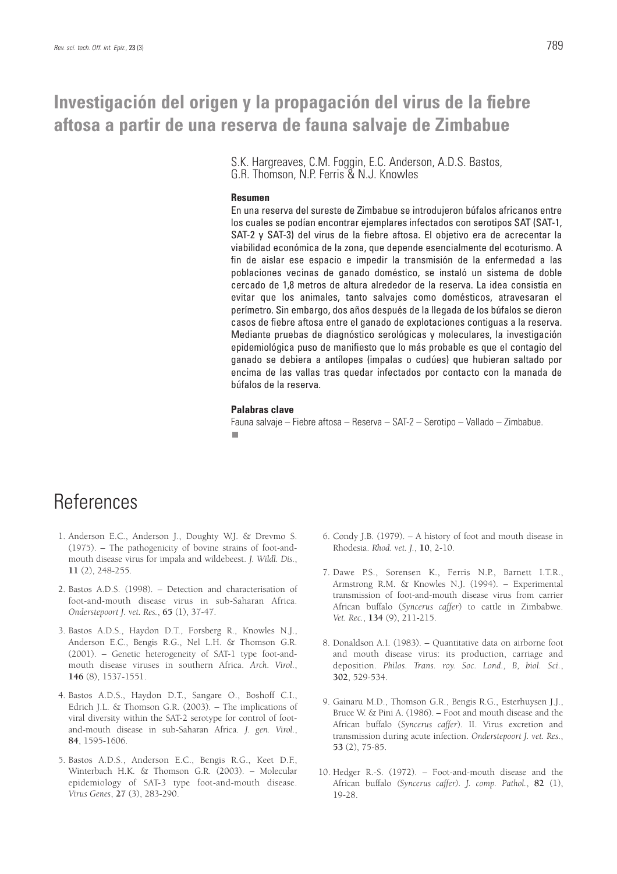## **Investigación del origen y la propagación del virus de la fiebre aftosa a partir de una reserva de fauna salvaje de Zimbabue**

S.K. Hargreaves, C.M. Foggin, E.C. Anderson, A.D.S. Bastos, G.R. Thomson, N.P. Ferris & N.J. Knowles

#### **Resumen**

En una reserva del sureste de Zimbabue se introdujeron búfalos africanos entre los cuales se podían encontrar ejemplares infectados con serotipos SAT (SAT-1, SAT-2 y SAT-3) del virus de la fiebre aftosa. El objetivo era de acrecentar la viabilidad económica de la zona, que depende esencialmente del ecoturismo. A fin de aislar ese espacio e impedir la transmisión de la enfermedad a las poblaciones vecinas de ganado doméstico, se instaló un sistema de doble cercado de 1,8 metros de altura alrededor de la reserva. La idea consistía en evitar que los animales, tanto salvajes como domésticos, atravesaran el perímetro. Sin embargo, dos años después de la llegada de los búfalos se dieron casos de fiebre aftosa entre el ganado de explotaciones contiguas a la reserva. Mediante pruebas de diagnóstico serológicas y moleculares, la investigación epidemiológica puso de manifiesto que lo más probable es que el contagio del ganado se debiera a antílopes (impalas o cudúes) que hubieran saltado por encima de las vallas tras quedar infectados por contacto con la manada de búfalos de la reserva.

#### **Palabras clave**

Fauna salvaje – Fiebre aftosa – Reserva – SAT-2 – Serotipo – Vallado – Zimbabue.

 $\blacksquare$ 

## **References**

- 1. Anderson E.C., Anderson J., Doughty W.J. & Drevmo S. (1975). – The pathogenicity of bovine strains of foot-andmouth disease virus for impala and wildebeest. *J. Wildl. Dis.*, **11** (2), 248-255.
- 2. Bastos A.D.S. (1998). Detection and characterisation of foot-and-mouth disease virus in sub-Saharan Africa. *Onderstepoort J. vet. Res.*, **65** (1), 37-47.
- 3. Bastos A.D.S., Haydon D.T., Forsberg R., Knowles N.J., Anderson E.C., Bengis R.G., Nel L.H. & Thomson G.R. (2001). – Genetic heterogeneity of SAT-1 type foot-andmouth disease viruses in southern Africa. *Arch. Virol.*, **146** (8), 1537-1551.
- 4. Bastos A.D.S., Haydon D.T., Sangare O., Boshoff C.I., Edrich J.L. & Thomson G.R. (2003). – The implications of viral diversity within the SAT-2 serotype for control of footand-mouth disease in sub-Saharan Africa. *J. gen. Virol.*, **84**, 1595-1606.
- 5. Bastos A.D.S., Anderson E.C., Bengis R.G., Keet D.F., Winterbach H.K. & Thomson G.R. (2003). – Molecular epidemiology of SAT-3 type foot-and-mouth disease. *Virus Genes*, **27** (3), 283-290.
- 6. Condy J.B. (1979). A history of foot and mouth disease in Rhodesia. *Rhod. vet. J.*, **10**, 2-10.
- 7. Dawe P.S., Sorensen K., Ferris N.P., Barnett I.T.R., Armstrong R.M. & Knowles N.J. (1994). – Experimental transmission of foot-and-mouth disease virus from carrier African buffalo (*Syncerus caffer*) to cattle in Zimbabwe. *Vet. Rec.*, **134** (9), 211-215.
- 8. Donaldson A.I. (1983). Quantitative data on airborne foot and mouth disease virus: its production, carriage and deposition. *Philos. Trans. roy. Soc. Lond., B, biol. Sci.*, **302**, 529-534.
- 9. Gainaru M.D., Thomson G.R., Bengis R.G., Esterhuysen J.J., Bruce W. & Pini A. (1986). – Foot and mouth disease and the African buffalo (*Syncerus caffer*). II. Virus excretion and transmission during acute infection. *Onderstepoort J. vet. Res.*, **53** (2), 75-85.
- 10. Hedger R.-S. (1972). Foot-and-mouth disease and the African buffalo *(Syncerus caffer). J. comp. Pathol.*, **82** (1), 19-28.